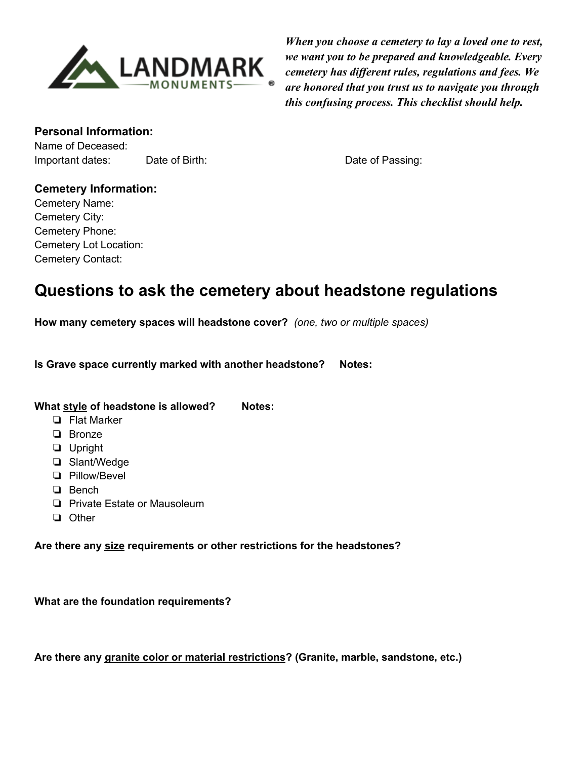

*When you choose a cemetery to lay a loved one to rest, we want you to be prepared and knowledgeable. Every cemetery has different rules, regulations and fees. We are honored that you trust us to navigate you through this confusing process. This checklist should help.*

**Personal Information:** Name of Deceased: Important dates: Date of Birth: Date of Passing:

# **Cemetery Information:**

Cemetery Name: Cemetery City: Cemetery Phone: Cemetery Lot Location: Cemetery Contact:

# **Questions to ask the cemetery about headstone regulations**

**How many cemetery spaces will headstone cover?** *(one, two or multiple spaces)*

**Is Grave space currently marked with another headstone? Notes:**

**What style of headstone is allowed? Notes:**

- ❏ Flat Marker
- ❏ Bronze
- ❏ Upright
- ❏ Slant/Wedge
- ❏ Pillow/Bevel
- ❏ Bench
- ❏ Private Estate or Mausoleum
- ❏ Other

**Are there any size requirements or other restrictions for the headstones?**

**What are the foundation requirements?**

**Are there any granite color or material restrictions? (Granite, marble, sandstone, etc.)**